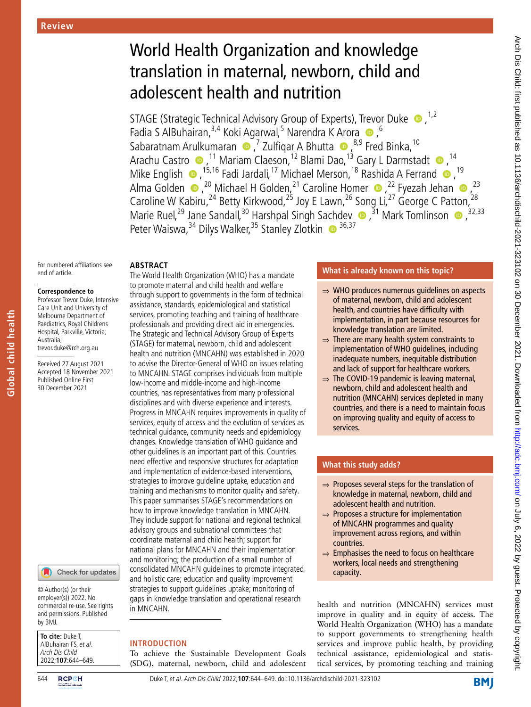# World Health Organization and knowledge translation in maternal, newborn, child and adolescent health and nutrition

STAGE (Strategic Technical Advisory Group of Experts), Trevor Duke  $\bullet$ ,<sup>1,2</sup> Fadia S AlBuhairan,<sup>3,4</sup> Koki Agarwal,<sup>5</sup> Narendra K Arora <sup>6</sup>,<sup>6</sup> Sabaratnam Arulkumaran (D, 7 Zulfiqar A Bhutta (D, <sup>8,9</sup> Fred Binka, <sup>10</sup> Arachu Castro <sup>®</sup>,<sup>11</sup> Mariam Claeson,<sup>12</sup> Blami Dao,<sup>13</sup> Gary L Darmstadt ®,<sup>14</sup> Mike English  $\bullet$  , <sup>15,16</sup> Fadi Jardali, <sup>17</sup> Michael Merson, <sup>18</sup> Rashida A Ferrand  $\bullet$ , <sup>19</sup> Alma Golden  $\bullet$  ,<sup>20</sup> Michael H Golden,<sup>21</sup> Caroline Homer  $\bullet$  ,<sup>22</sup> Fyezah Jehan  $\bullet$  ,<sup>23</sup> Caroline W Kabiru,<sup>24</sup> Betty Kirkwood,<sup>25</sup> Joy E Lawn,<sup>26</sup> Song Li,<sup>27</sup> George C Patton,<sup>28</sup> Marie Ruel,<sup>29</sup> Jane Sandall,<sup>30</sup> Harshpal Singh Sachdev  $\bullet$ ,<sup>31</sup> Mark Tomlinson  $\bullet$ ,<sup>32,33</sup> Peter Waiswa,<sup>34</sup> Dilys Walker,<sup>35</sup> Stanley Zlotkin <sup>36,37</sup>

## **Abstract**

#### **Correspondence to**

end of article.

**Global child health**

**Global child health** 

Professor Trevor Duke, Intensive Care Unit and University of Melbourne Department of Paediatrics, Royal Childrens Hospital, Parkville, Victoria, Australia; trevor.duke@rch.org.au

For numbered affiliations see

Received 27 August 2021 Accepted 18 November 2021 Published Online First 30 December 2021

#### Check for updates

© Author(s) (or their employer(s)) 2022. No commercial re-use. See rights and permissions. Published by BMJ.

**To cite:** Duke T, AlBuhairan FS, et al. Arch Dis Child 2022;**107**:644–649.

#### The World Health Organization (WHO) has a mandate to promote maternal and child health and welfare through support to governments in the form of technical assistance, standards, epidemiological and statistical services, promoting teaching and training of healthcare professionals and providing direct aid in emergencies. The Strategic and Technical Advisory Group of Experts (STAGE) for maternal, newborn, child and adolescent health and nutrition (MNCAHN) was established in 2020 to advise the Director-General of WHO on issues relating to MNCAHN. STAGE comprises individuals from multiple low-income and middle-income and high-income countries, has representatives from many professional disciplines and with diverse experience and interests. Progress in MNCAHN requires improvements in quality of services, equity of access and the evolution of services as technical guidance, community needs and epidemiology changes. Knowledge translation of WHO guidance and other guidelines is an important part of this. Countries need effective and responsive structures for adaptation and implementation of evidence-based interventions, strategies to improve guideline uptake, education and training and mechanisms to monitor quality and safety. This paper summarises STAGE's recommendations on how to improve knowledge translation in MNCAHN. They include support for national and regional technical advisory groups and subnational committees that coordinate maternal and child health; support for national plans for MNCAHN and their implementation and monitoring; the production of a small number of consolidated MNCAHN guidelines to promote integrated and holistic care; education and quality improvement strategies to support guidelines uptake; monitoring of gaps in knowledge translation and operational research in MNCAHN.

# **Introduction**

To achieve the Sustainable Development Goals (SDG), maternal, newborn, child and adolescent

## **What is already known on this topic?**

- ⇒ WHO produces numerous guidelines on aspects of maternal, newborn, child and adolescent health, and countries have difficulty with implementation, in part because resources for knowledge translation are limited.
- $\Rightarrow$  There are many health system constraints to implementation of WHO guidelines, including inadequate numbers, inequitable distribution and lack of support for healthcare workers.
- $\Rightarrow$  The COVID-19 pandemic is leaving maternal, newborn, child and adolescent health and nutrition (MNCAHN) services depleted in many countries, and there is a need to maintain focus on improving quality and equity of access to services.

# **What this study adds?**

- ⇒ Proposes several steps for the translation of knowledge in maternal, newborn, child and adolescent health and nutrition.
- $\Rightarrow$  Proposes a structure for implementation of MNCAHN programmes and quality improvement across regions, and within countries.
- $\Rightarrow$  Emphasises the need to focus on healthcare workers, local needs and strengthening capacity.

health and nutrition (MNCAHN) services must improve in quality and in equity of access. The World Health Organization (WHO) has a mandate to support governments to strengthening health services and improve public health, by providing technical assistance, epidemiological and statistical services, by promoting teaching and training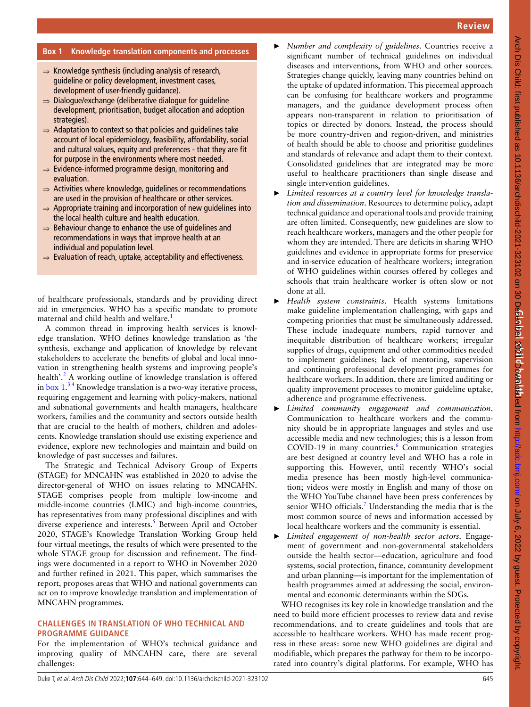## **Box 1 Knowledge translation components and processes**

- $\Rightarrow$  Knowledge synthesis (including analysis of research, guideline or policy development, investment cases, development of user-friendly guidance).
- ⇒ Dialogue/exchange (deliberative dialogue for guideline development, prioritisation, budget allocation and adoption strategies).
- ⇒ Adaptation to context so that policies and guidelines take account of local epidemiology, feasibility, affordability, social and cultural values, equity and preferences - that they are fit for purpose in the environments where most needed.
- ⇒ Evidence-informed programme design, monitoring and evaluation.
- $\Rightarrow$  Activities where knowledge, quidelines or recommendations are used in the provision of healthcare or other services.
- $\Rightarrow$  Appropriate training and incorporation of new quidelines into the local health culture and health education.
- $\Rightarrow$  Behaviour change to enhance the use of quidelines and recommendations in ways that improve health at an individual and population level.
- $\Rightarrow$  Evaluation of reach, uptake, acceptability and effectiveness.

of healthcare professionals, standards and by providing direct aid in emergencies. WHO has a specific mandate to promote maternal and child health and welfare.<sup>1</sup>

A common thread in improving health services is knowledge translation. WHO defines knowledge translation as 'the synthesis, exchange and application of knowledge by relevant stakeholders to accelerate the benefits of global and local innovation in strengthening health systems and improving people's health'.<sup>2</sup> A working outline of knowledge translation is offered in box  $1<sup>34</sup>$  Knowledge translation is a two-way iterative process, requiring engagement and learning with policy-makers, national and subnational governments and health managers, healthcare workers, families and the community and sectors outside health that are crucial to the health of mothers, children and adolescents. Knowledge translation should use existing experience and evidence, explore new technologies and maintain and build on knowledge of past successes and failures.

The Strategic and Technical Advisory Group of Experts (STAGE) for MNCAHN was established in 2020 to advise the director-general of WHO on issues relating to MNCAHN. STAGE comprises people from multiple low-income and middle-income countries (LMIC) and high-income countries, has representatives from many professional disciplines and with diverse experience and interests.<sup>5</sup> Between April and October 2020, STAGE's Knowledge Translation Working Group held four virtual meetings, the results of which were presented to the whole STAGE group for discussion and refinement. The findings were documented in a report to WHO in November 2020 and further refined in 2021. This paper, which summarises the report, proposes areas that WHO and national governments can act on to improve knowledge translation and implementation of MNCAHN programmes.

## **Challenges in translation of WHO technical and programme guidance**

For the implementation of WHO's technical guidance and improving quality of MNCAHN care, there are several challenges:

- ► *Number and complexity of guidelines*. Countries receive a significant number of technical guidelines on individual diseases and interventions, from WHO and other sources. Strategies change quickly, leaving many countries behind on the uptake of updated information. This piecemeal approach can be confusing for healthcare workers and programme managers, and the guidance development process often appears non-transparent in relation to prioritisation of topics or directed by donors. Instead, the process should be more country-driven and region-driven, and ministries of health should be able to choose and prioritise guidelines and standards of relevance and adapt them to their context. Consolidated guidelines that are integrated may be more useful to healthcare practitioners than single disease and single intervention guidelines.
- Limited resources at a country level for knowledge transla*tion and dissemination*. Resources to determine policy, adapt technical guidance and operational tools and provide training are often limited. Consequently, new guidelines are slow to reach healthcare workers, managers and the other people for whom they are intended. There are deficits in sharing WHO guidelines and evidence in appropriate forms for preservice and in-service education of healthcare workers; integration of WHO guidelines within courses offered by colleges and schools that train healthcare worker is often slow or not done at all.
- ► *Health system constraints*. Health systems limitations make guideline implementation challenging, with gaps and competing priorities that must be simultaneously addressed. These include inadequate numbers, rapid turnover and inequitable distribution of healthcare workers; irregular supplies of drugs, equipment and other commodities needed to implement guidelines; lack of mentoring, supervision and continuing professional development programmes for healthcare workers. In addition, there are limited auditing or quality improvement processes to monitor guideline uptake, adherence and programme effectiveness.
- ► *Limited community engagement and communication*. Communication to healthcare workers and the community should be in appropriate languages and styles and use accessible media and new technologies; this is a lesson from COVID-19 in many countries.<sup>6</sup> Communication strategies are best designed at country level and WHO has a role in supporting this. However, until recently WHO's social media presence has been mostly high-level communication; videos were mostly in English and many of those on the WHO YouTube channel have been press conferences by senior WHO officials.<sup>7</sup> Understanding the media that is the most common source of news and information accessed by local healthcare workers and the community is essential.
- ► *Limited engagement of non-health sector actors*. Engagement of government and non-governmental stakeholders outside the health sector—education, agriculture and food systems, social protection, finance, community development and urban planning—is important for the implementation of health programmes aimed at addressing the social, environmental and economic determinants within the SDGs.

WHO recognises its key role in knowledge translation and the need to build more efficient processes to review data and revise recommendations, and to create guidelines and tools that are accessible to healthcare workers. WHO has made recent progress in these areas: some new WHO guidelines are digital and modifiable, which prepares the pathway for them to be incorporated into country's digital platforms. For example, WHO has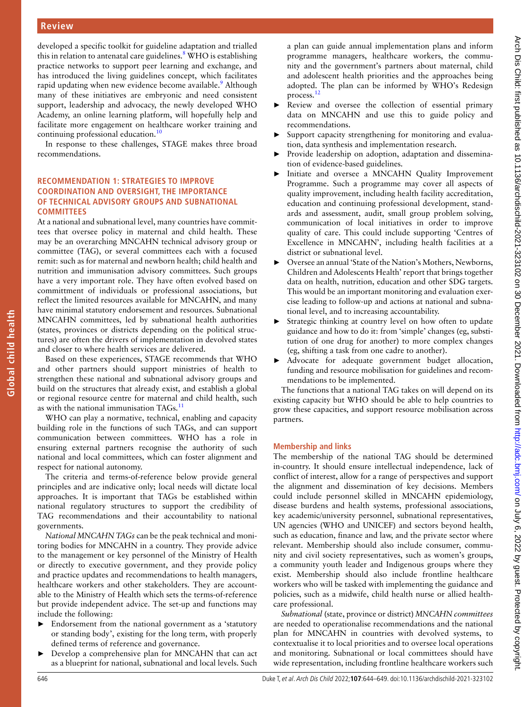developed a specific toolkit for guideline adaptation and trialled this in relation to antenatal care guidelines.<sup>8</sup> WHO is establishing practice networks to support peer learning and exchange, and has introduced the living guidelines concept, which facilitates rapid updating when new evidence become available.<sup>9</sup> Although many of these initiatives are embryonic and need consistent support, leadership and advocacy, the newly developed WHO Academy, an online learning platform, will hopefully help and facilitate more engagement on healthcare worker training and continuing professional education.<sup>10</sup>

In response to these challenges, STAGE makes three broad recommendations.

#### **RECOMMENDATION 1: STRATEGIES TO IMPROVE coordination and oversight, the importance of technical advisory groups and subnational committees**

At a national and subnational level, many countries have committees that oversee policy in maternal and child health. These may be an overarching MNCAHN technical advisory group or committee (TAG), or several committees each with a focused remit: such as for maternal and newborn health; child health and nutrition and immunisation advisory committees. Such groups have a very important role. They have often evolved based on committment of individuals or professional associations, but reflect the limited resources available for MNCAHN, and many have minimal statutory endorsement and resources. Subnational MNCAHN committees, led by subnational health authorities (states, provinces or districts depending on the political structures) are often the drivers of implementation in devolved states and closer to where health services are delivered.

Based on these experiences, STAGE recommends that WHO and other partners should support ministries of health to strengthen these national and subnational advisory groups and build on the structures that already exist, and establish a global or regional resource centre for maternal and child health, such as with the national immunisation TAGs. $11$ 

WHO can play a normative, technical, enabling and capacity building role in the functions of such TAGs, and can support communication between committees. WHO has a role in ensuring external partners recognise the authority of such national and local committees, which can foster alignment and respect for national autonomy.

The criteria and terms-of-reference below provide general principles and are indicative only; local needs will dictate local approaches. It is important that TAGs be established within national regulatory structures to support the credibility of TAG recommendations and their accountability to national governments.

*National MNCAHN TAGs* can be the peak technical and monitoring bodies for MNCAHN in a country. They provide advice to the management or key personnel of the Ministry of Health or directly to executive government, and they provide policy and practice updates and recommendations to health managers, healthcare workers and other stakeholders. They are accountable to the Ministry of Health which sets the terms-of-reference but provide independent advice. The set-up and functions may include the following:

- ► Endorsement from the national government as a 'statutory or standing body', existing for the long term, with properly defined terms of reference and governance.
- Develop a comprehensive plan for MNCAHN that can act as a blueprint for national, subnational and local levels. Such

a plan can guide annual implementation plans and inform programme managers, healthcare workers, the community and the government's partners about maternal, child and adolescent health priorities and the approaches being adopted. The plan can be informed by WHO's Redesign process.<sup>1</sup>

- Review and oversee the collection of essential primary data on MNCAHN and use this to guide policy and recommendations.
- Support capacity strengthening for monitoring and evaluation, data synthesis and implementation research.
- Provide leadership on adoption, adaptation and dissemination of evidence-based guidelines.
- Initiate and oversee a MNCAHN Quality Improvement Programme. Such a programme may cover all aspects of quality improvement, including health facility accreditation, education and continuing professional development, standards and assessment, audit, small group problem solving, communication of local initiatives in order to improve quality of care. This could include supporting 'Centres of Excellence in MNCAHN', including health facilities at a district or subnational level.
- ► Oversee an annual 'State of the Nation's Mothers, Newborns, Children and Adolescents Health' report that brings together data on health, nutrition, education and other SDG targets. This would be an important monitoring and evaluation exercise leading to follow-up and actions at national and subnational level, and to increasing accountability.
- Strategic thinking at country level on how often to update guidance and how to do it: from 'simple' changes (eg, substitution of one drug for another) to more complex changes (eg, shifting a task from one cadre to another).
- Advocate for adequate government budget allocation, funding and resource mobilisation for guidelines and recommendations to be implemented.

The functions that a national TAG takes on will depend on its existing capacity but WHO should be able to help countries to grow these capacities, and support resource mobilisation across partners.

#### **Membership and links**

The membership of the national TAG should be determined in-country. It should ensure intellectual independence, lack of conflict of interest, allow for a range of perspectives and support the alignment and dissemination of key decisions. Members could include personnel skilled in MNCAHN epidemiology, disease burdens and health systems, professional associations, key academic/university personnel, subnational representatives, UN agencies (WHO and UNICEF) and sectors beyond health, such as education, finance and law, and the private sector where relevant. Membership should also include consumer, community and civil society representatives, such as women's groups, a community youth leader and Indigenous groups where they exist. Membership should also include frontline healthcare workers who will be tasked with implementing the guidance and policies, such as a midwife, child health nurse or allied healthcare professional.

*Subnational* (state, province or district) *MNCAHN committees* are needed to operationalise recommendations and the national plan for MNCAHN in countries with devolved systems, to contextualise it to local priorities and to oversee local operations and monitoring. Subnational or local committees should have wide representation, including frontline healthcare workers such

**Global child health**

Global child health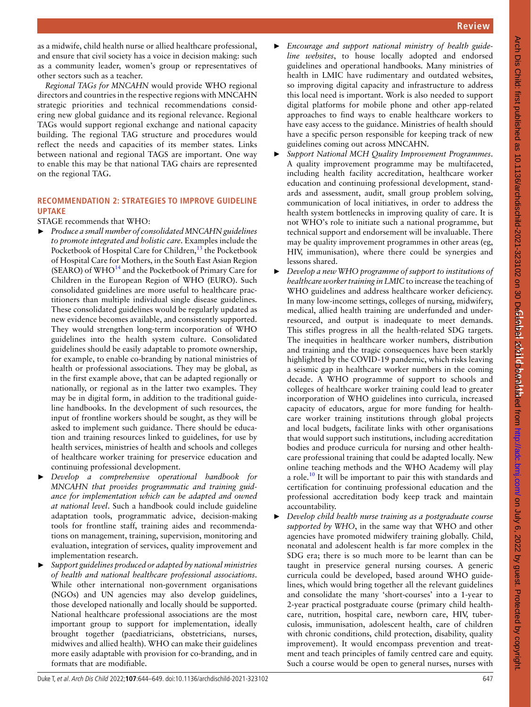as a midwife, child health nurse or allied healthcare professional, and ensure that civil society has a voice in decision making: such as a community leader, women's group or representatives of other sectors such as a teacher.

*Regional TAGs for MNCAHN* would provide WHO regional directors and countries in the respective regions with MNCAHN strategic priorities and technical recommendations considering new global guidance and its regional relevance. Regional TAGs would support regional exchange and national capacity building. The regional TAG structure and procedures would reflect the needs and capacities of its member states. Links between national and regional TAGS are important. One way to enable this may be that national TAG chairs are represented on the regional TAG.

## **RECOMMENDATION 2: STRATEGIES TO IMPROVE GUIDELINE uptake**

#### STAGE recommends that WHO:

- ► *Produce a small number of consolidated MNCAHN guidelines to promote integrated and holistic care*. Examples include the Pocketbook of Hospital Care for Children,<sup>13</sup> the Pocketbook of Hospital Care for Mothers, in the South East Asian Region (SEARO) of  $WHO^{14}$  and the Pocketbook of Primary Care for Children in the European Region of WHO (EURO). Such consolidated guidelines are more useful to healthcare practitioners than multiple individual single disease guidelines. These consolidated guidelines would be regularly updated as new evidence becomes available, and consistently supported. They would strengthen long-term incorporation of WHO guidelines into the health system culture. Consolidated guidelines should be easily adaptable to promote ownership, for example, to enable co-branding by national ministries of health or professional associations. They may be global, as in the first example above, that can be adapted regionally or nationally, or regional as in the latter two examples. They may be in digital form, in addition to the traditional guideline handbooks. In the development of such resources, the input of frontline workers should be sought, as they will be asked to implement such guidance. There should be education and training resources linked to guidelines, for use by health services, ministries of health and schools and colleges of healthcare worker training for preservice education and continuing professional development.
- ► *Develop a comprehensive operational handbook for MNCAHN that provides programmatic and training guidance for implementation which can be adapted and owned at national level*. Such a handbook could include guideline adaptation tools, programmatic advice, decision-making tools for frontline staff, training aides and recommendations on management, training, supervision, monitoring and evaluation, integration of services, quality improvement and implementation research.
- ► *Support guidelines produced or adapted by national ministries of health and national healthcare professional associations*. While other international non-government organisations (NGOs) and UN agencies may also develop guidelines, those developed nationally and locally should be supported. National healthcare professional associations are the most important group to support for implementation, ideally brought together (paediatricians, obstetricians, nurses, midwives and allied health). WHO can make their guidelines more easily adaptable with provision for co-branding, and in formats that are modifiable.
- ► *Encourage and support national ministry of health guideline websites*, to house locally adopted and endorsed guidelines and operational handbooks. Many ministries of health in LMIC have rudimentary and outdated websites, so improving digital capacity and infrastructure to address this local need is important. Work is also needed to support digital platforms for mobile phone and other app-related approaches to find ways to enable healthcare workers to have easy access to the guidance. Ministries of health should have a specific person responsible for keeping track of new guidelines coming out across MNCAHN.
- ► *Support National MCH Quality Improvement Programmes*. A quality improvement programme may be multifaceted, including health facility accreditation, healthcare worker education and continuing professional development, standards and assessment, audit, small group problem solving, communication of local initiatives, in order to address the health system bottlenecks in improving quality of care. It is not WHO's role to initiate such a national programme, but technical support and endorsement will be invaluable. There may be quality improvement programmes in other areas (eg, HIV, immunisation), where there could be synergies and lessons shared.
- ► *Develop a new WHO programme of support to institutions of healthcare worker training in LMIC* to increase the teaching of WHO guidelines and address healthcare worker deficiency. In many low-income settings, colleges of nursing, midwifery, medical, allied health training are underfunded and underresourced, and output is inadequate to meet demands. This stifles progress in all the health-related SDG targets. The inequities in healthcare worker numbers, distribution and training and the tragic consequences have been starkly highlighted by the COVID-19 pandemic, which risks leaving a seismic gap in healthcare worker numbers in the coming decade. A WHO programme of support to schools and colleges of healthcare worker training could lead to greater incorporation of WHO guidelines into curricula, increased capacity of educators, argue for more funding for healthcare worker training institutions through global projects and local budgets, facilitate links with other organisations that would support such institutions, including accreditation bodies and produce curricula for nursing and other healthcare professional training that could be adapted locally. New online teaching methods and the WHO Academy will play a role.<sup>10</sup> It will be important to pair this with standards and certification for continuing professional education and the professional accreditation body keep track and maintain accountability.
- ► *Develop child health nurse training as a postgraduate course supported by WHO*, in the same way that WHO and other agencies have promoted midwifery training globally. Child, neonatal and adolescent health is far more complex in the SDG era; there is so much more to be learnt than can be taught in preservice general nursing courses. A generic curricula could be developed, based around WHO guidelines, which would bring together all the relevant guidelines and consolidate the many 'short-courses' into a 1-year to 2-year practical postgraduate course (primary child healthcare, nutrition, hospital care, newborn care, HIV, tuberculosis, immunisation, adolescent health, care of children with chronic conditions, child protection, disability, quality improvement). It would encompass prevention and treatment and teach principles of family centred care and equity. Such a course would be open to general nurses, nurses with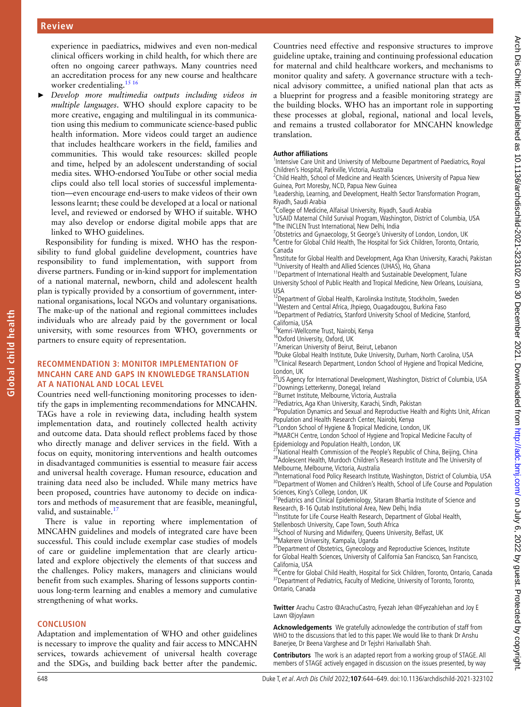experience in paediatrics, midwives and even non-medical clinical officers working in child health, for which there are often no ongoing career pathways. Many countries need an accreditation process for any new course and healthcare worker credentialing.<sup>15 16</sup>

► *Develop more multimedia outputs including videos in multiple languages*. WHO should explore capacity to be more creative, engaging and multilingual in its communication using this medium to communicate science-based public health information. More videos could target an audience that includes healthcare workers in the field, families and communities. This would take resources: skilled people and time, helped by an adolescent understanding of social media sites. WHO-endorsed YouTube or other social media clips could also tell local stories of successful implementation—even encourage end-users to make videos of their own lessons learnt; these could be developed at a local or national level, and reviewed or endorsed by WHO if suitable. WHO may also develop or endorse digital mobile apps that are linked to WHO guidelines.

Responsibility for funding is mixed. WHO has the responsibility to fund global guideline development, countries have responsibility to fund implementation, with support from diverse partners. Funding or in-kind support for implementation of a national maternal, newborn, child and adolescent health plan is typically provided by a consortium of government, international organisations, local NGOs and voluntary organisations. The make-up of the national and regional committees includes individuals who are already paid by the government or local university, with some resources from WHO, governments or partners to ensure equity of representation.

#### **RECOMMENDATION 3: MONITOR IMPLEMENTATION OF MNCAHN care and gaps in knowledge translation at a national and local level**

Countries need well-functioning monitoring processes to identify the gaps in implementing recommendations for MNCAHN. TAGs have a role in reviewing data, including health system implementation data, and routinely collected health activity and outcome data. Data should reflect problems faced by those who directly manage and deliver services in the field. With a focus on equity, monitoring interventions and health outcomes in disadvantaged communities is essential to measure fair access and universal health coverage. Human resource, education and training data need also be included. While many metrics have been proposed, countries have autonomy to decide on indicators and methods of measurement that are feasible, meaningful, valid, and sustainable.<sup>17</sup>

There is value in reporting where implementation of MNCAHN guidelines and models of integrated care have been successful. This could include exemplar case studies of models of care or guideline implementation that are clearly articulated and explore objectively the elements of that success and the challenges. Policy makers, managers and clinicians would benefit from such examples. Sharing of lessons supports continuous long-term learning and enables a memory and cumulative strengthening of what works.

#### **Conclusion**

Adaptation and implementation of WHO and other guidelines is necessary to improve the quality and fair access to MNCAHN services, towards achievement of universal health coverage and the SDGs, and building back better after the pandemic.

Countries need effective and responsive structures to improve guideline uptake, training and continuing professional education for maternal and child healthcare workers, and mechanisms to monitor quality and safety. A governance structure with a technical advisory committee, a unified national plan that acts as a blueprint for progress and a feasible monitoring strategy are the building blocks. WHO has an important role in supporting these processes at global, regional, national and local levels, and remains a trusted collaborator for MNCAHN knowledge translation.

#### **Author affiliations**

<sup>1</sup>Intensive Care Unit and University of Melbourne Department of Paediatrics, Royal Children's Hospital, Parkville, Victoria, Australia

<sup>2</sup>Child Health, School of Medicine and Health Sciences, University of Papua New Guinea, Port Moresby, NCD, Papua New Guinea

<sup>3</sup> Leadership, Learning, and Development, Health Sector Transformation Program, Riyadh, Saudi Arabia

4 College of Medicine, Alfaisal University, Riyadh, Saudi Arabia

<sup>5</sup>USAID Maternal Child Survival Program, Washington, District of Columbia, USA <sup>6</sup>The INCLEN Trust International, New Delhi, India

<sup>7</sup>Obstetrics and Gynaecology, St George's University of London, London, UK 8 Centre for Global Child Health, The Hospital for Sick Children, Toronto, Ontario, Canada

9 Institute for Global Health and Development, Aga Khan University, Karachi, Pakistan <sup>10</sup>University of Health and Allied Sciences (UHAS), Ho, Ghana

<sup>11</sup> Department of International Health and Sustainable Development, Tulane University School of Public Health and Tropical Medicine, New Orleans, Louisiana, USA

<sup>12</sup>Department of Global Health, Karolinska Institute, Stockholm, Sweden

<sup>13</sup>Western and Central Africa, Jhpiego, Ouagadougou, Burkina Faso <sup>14</sup>Department of Pediatrics, Stanford University School of Medicine, Stanford,

California, USA

<sup>15</sup>Kemri-Wellcome Trust, Nairobi, Kenya<br><sup>16</sup>Oxford University, Oxford, UK

<sup>17</sup> American University of Beirut, Beirut, Lebanon

<sup>18</sup>Duke Global Health Institute, Duke University, Durham, North Carolina, USA

<sup>19</sup>Clinical Research Department, London School of Hygiene and Tropical Medicine, London, UK

<sup>20</sup>US Agency for International Development, Washington, District of Columbia, USA 21Downings Letterkenny, Donegal, Ireland

<sup>22</sup>Burnet Institute, Melbourne, Victoria, Australia

<sup>23</sup> Pediatrics, Aga Khan University, Karachi, Sindh, Pakistan

<sup>24</sup> Population Dynamics and Sexual and Reproductive Health and Rights Unit, African Population and Health Research Center, Nairobi, Kenya

<sup>25</sup>London School of Hygiene & Tropical Medicine, London, UK

<sup>26</sup>MARCH Centre, London School of Hygiene and Tropical Medicine Faculty of Epidemiology and Population Health, London, UK

National Health Commission of the People's Republic of China, Beijing, China <sup>28</sup> Adolescent Health, Murdoch Children's Research Institute and The University of Melbourne, Melbourne, Victoria, Australia

<sup>29</sup>International Food Policy Research Institute, Washington, District of Columbia, USA 30 Department of Women and Children's Health, School of Life Course and Population Sciences, King's College, London, UK

<sup>31</sup> Pediatrics and Clinical Epidemiology, Sitaram Bhartia Institute of Science and

Research, B-16 Qutab Institutional Area, New Delhi, India<br><sup>32</sup>Institute for Life Course Health Research, Department of Global Health,

Stellenbosch University, Cape Town, South Africa 33 School of Nursing and Midwifery, Queens University, Belfast, UK

34Makerere University, Kampala, Uganda

<sup>35</sup>Department of Obstetrics, Gynecology and Reproductive Sciences, Institute for Global Health Sciences, University of California San Francisco, San Francisco, California, USA

<sup>36</sup>Centre for Global Child Health, Hospital for Sick Children, Toronto, Ontario, Canada <sup>37</sup> Department of Pediatrics, Faculty of Medicine, University of Toronto, Toronto, Ontario, Canada

**Twitter** Arachu Castro @ArachuCastro, Fyezah Jehan @FyezahJehan and Joy E Lawn @joylawn

**Acknowledgements** We gratefully acknowledge the contribution of staff from WHO to the discussions that led to this paper. We would like to thank Dr Anshu Banerjee, Dr Beena Varghese and Dr Tejshri Harivallabh Shah.

**Contributors** The work is an adapted report from a working group of STAGE. All members of STAGE actively engaged in discussion on the issues presented, by way